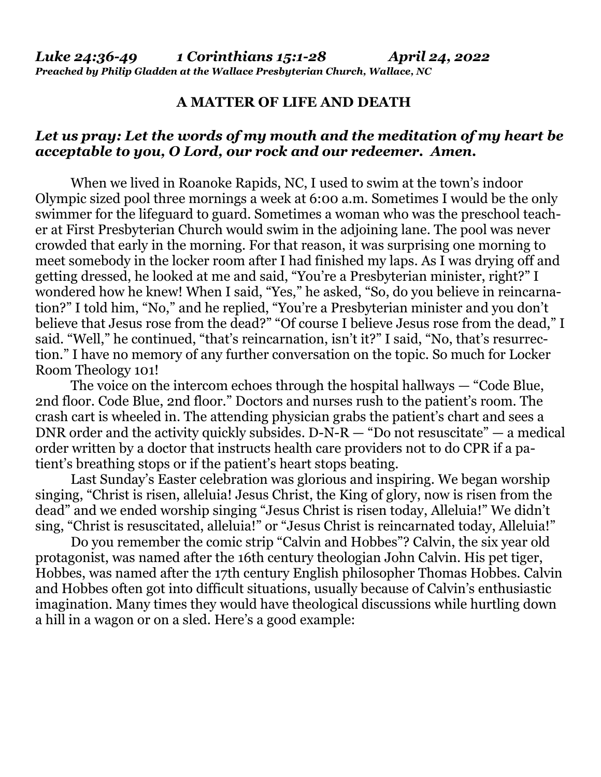## **A MATTER OF LIFE AND DEATH**

## *Let us pray: Let the words of my mouth and the meditation of my heart be acceptable to you, O Lord, our rock and our redeemer. Amen.*

When we lived in Roanoke Rapids, NC, I used to swim at the town's indoor Olympic sized pool three mornings a week at 6:00 a.m. Sometimes I would be the only swimmer for the lifeguard to guard. Sometimes a woman who was the preschool teacher at First Presbyterian Church would swim in the adjoining lane. The pool was never crowded that early in the morning. For that reason, it was surprising one morning to meet somebody in the locker room after I had finished my laps. As I was drying off and getting dressed, he looked at me and said, "You're a Presbyterian minister, right?" I wondered how he knew! When I said, "Yes," he asked, "So, do you believe in reincarnation?" I told him, "No," and he replied, "You're a Presbyterian minister and you don't believe that Jesus rose from the dead?" "Of course I believe Jesus rose from the dead," I said. "Well," he continued, "that's reincarnation, isn't it?" I said, "No, that's resurrection." I have no memory of any further conversation on the topic. So much for Locker Room Theology 101!

 The voice on the intercom echoes through the hospital hallways — "Code Blue, 2nd floor. Code Blue, 2nd floor." Doctors and nurses rush to the patient's room. The crash cart is wheeled in. The attending physician grabs the patient's chart and sees a DNR order and the activity quickly subsides.  $D-N-R$  — "Do not resuscitate" — a medical order written by a doctor that instructs health care providers not to do CPR if a patient's breathing stops or if the patient's heart stops beating.

 Last Sunday's Easter celebration was glorious and inspiring. We began worship singing, "Christ is risen, alleluia! Jesus Christ, the King of glory, now is risen from the dead" and we ended worship singing "Jesus Christ is risen today, Alleluia!" We didn't sing, "Christ is resuscitated, alleluia!" or "Jesus Christ is reincarnated today, Alleluia!"

 Do you remember the comic strip "Calvin and Hobbes"? Calvin, the six year old protagonist, was named after the 16th century theologian John Calvin. His pet tiger, Hobbes, was named after the 17th century English philosopher Thomas Hobbes. Calvin and Hobbes often got into difficult situations, usually because of Calvin's enthusiastic imagination. Many times they would have theological discussions while hurtling down a hill in a wagon or on a sled. Here's a good example: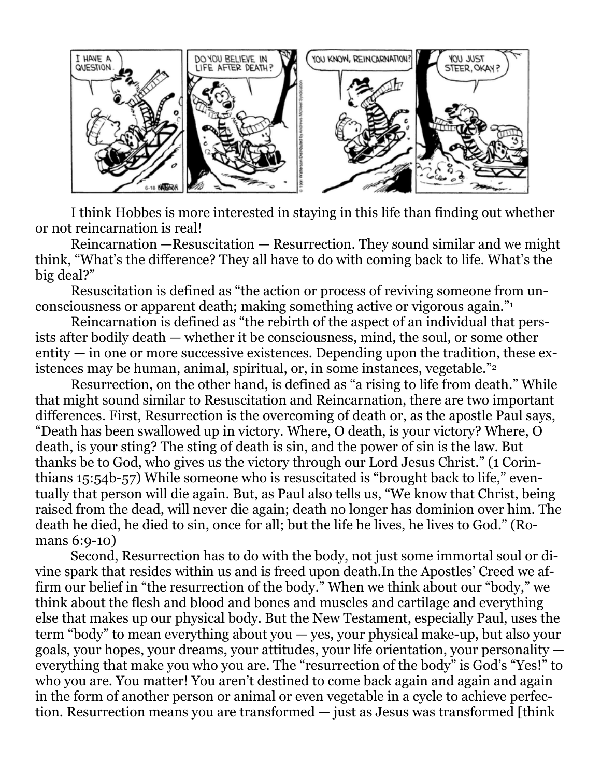

I think Hobbes is more interested in staying in this life than finding out whether or not reincarnation is real!

Reincarnation — Resuscitation — Resurrection. They sound similar and we might think, "What's the difference? They all have to do with coming back to life. What's the big deal?"

Resuscitation is defined as "the action or process of reviving someone from unconsciousness or apparent death; making something active or vigorous again."<sup>1</sup>

Reincarnation is defined as "the rebirth of the aspect of an individual that persists after bodily death — whether it be consciousness, mind, the soul, or some other  $entity - in$  one or more successive existences. Depending upon the tradition, these existences may be human, animal, spiritual, or, in some instances, vegetable."<sup>2</sup>

Resurrection, on the other hand, is defined as "a rising to life from death." While that might sound similar to Resuscitation and Reincarnation, there are two important differences. First, Resurrection is the overcoming of death or, as the apostle Paul says, "Death has been swallowed up in victory. Where, O death, is your victory? Where, O death, is your sting? The sting of death is sin, and the power of sin is the law. But thanks be to God, who gives us the victory through our Lord Jesus Christ." (1 Corinthians 15:54b-57) While someone who is resuscitated is "brought back to life," eventually that person will die again. But, as Paul also tells us, "We know that Christ, being raised from the dead, will never die again; death no longer has dominion over him. The death he died, he died to sin, once for all; but the life he lives, he lives to God." (Romans 6:9-10)

Second, Resurrection has to do with the body, not just some immortal soul or divine spark that resides within us and is freed upon death.In the Apostles' Creed we affirm our belief in "the resurrection of the body." When we think about our "body," we think about the flesh and blood and bones and muscles and cartilage and everything else that makes up our physical body. But the New Testament, especially Paul, uses the term "body" to mean everything about you — yes, your physical make-up, but also your goals, your hopes, your dreams, your attitudes, your life orientation, your personality everything that make you who you are. The "resurrection of the body" is God's "Yes!" to who you are. You matter! You aren't destined to come back again and again and again in the form of another person or animal or even vegetable in a cycle to achieve perfection. Resurrection means you are transformed — just as Jesus was transformed [think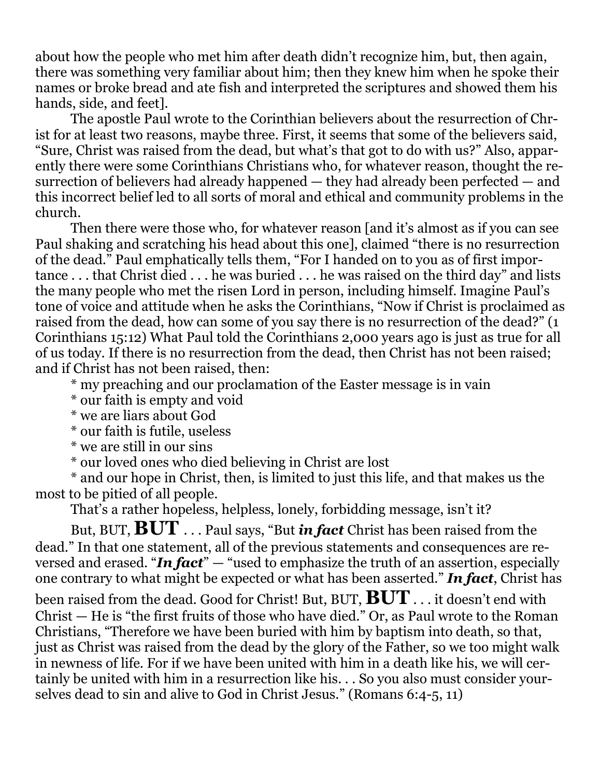about how the people who met him after death didn't recognize him, but, then again, there was something very familiar about him; then they knew him when he spoke their names or broke bread and ate fish and interpreted the scriptures and showed them his hands, side, and feet].

 The apostle Paul wrote to the Corinthian believers about the resurrection of Christ for at least two reasons, maybe three. First, it seems that some of the believers said, "Sure, Christ was raised from the dead, but what's that got to do with us?" Also, apparently there were some Corinthians Christians who, for whatever reason, thought the resurrection of believers had already happened — they had already been perfected — and this incorrect belief led to all sorts of moral and ethical and community problems in the church.

 Then there were those who, for whatever reason [and it's almost as if you can see Paul shaking and scratching his head about this one], claimed "there is no resurrection of the dead." Paul emphatically tells them, "For I handed on to you as of first importance . . . that Christ died . . . he was buried . . . he was raised on the third day" and lists the many people who met the risen Lord in person, including himself. Imagine Paul's tone of voice and attitude when he asks the Corinthians, "Now if Christ is proclaimed as raised from the dead, how can some of you say there is no resurrection of the dead?" (1 Corinthians 15:12) What Paul told the Corinthians 2,000 years ago is just as true for all of us today. If there is no resurrection from the dead, then Christ has not been raised; and if Christ has not been raised, then:

\* my preaching and our proclamation of the Easter message is in vain

\* our faith is empty and void

\* we are liars about God

\* our faith is futile, useless

\* we are still in our sins

\* our loved ones who died believing in Christ are lost

 \* and our hope in Christ, then, is limited to just this life, and that makes us the most to be pitied of all people.

That's a rather hopeless, helpless, lonely, forbidding message, isn't it?

 But, BUT, **BUT** . . . Paul says, "But *in fact* Christ has been raised from the dead." In that one statement, all of the previous statements and consequences are reversed and erased. "*In fact*" — "used to emphasize the truth of an assertion, especially one contrary to what might be expected or what has been asserted." *In fact*, Christ has

been raised from the dead. Good for Christ! But, BUT, **BUT** . . . it doesn't end with Christ — He is "the first fruits of those who have died." Or, as Paul wrote to the Roman Christians, "Therefore we have been buried with him by baptism into death, so that, just as Christ was raised from the dead by the glory of the Father, so we too might walk in newness of life. For if we have been united with him in a death like his, we will certainly be united with him in a resurrection like his. . . So you also must consider yourselves dead to sin and alive to God in Christ Jesus." (Romans 6:4-5, 11)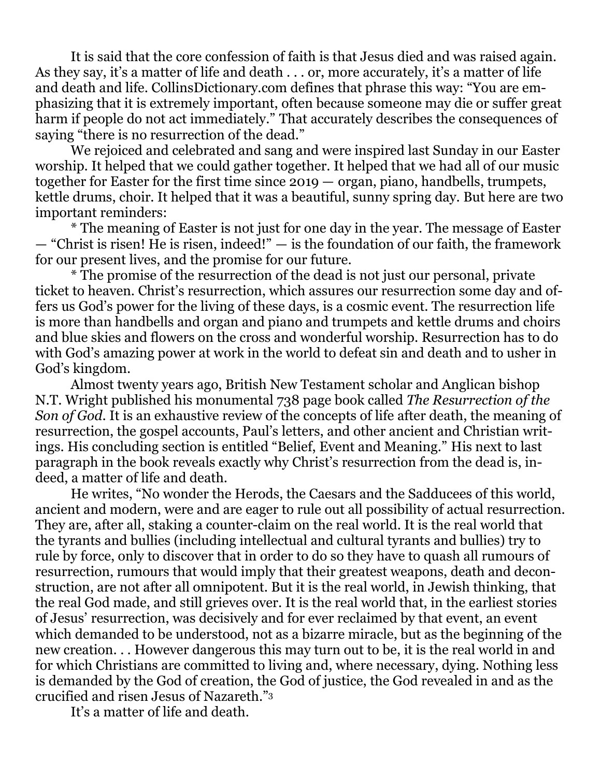It is said that the core confession of faith is that Jesus died and was raised again. As they say, it's a matter of life and death . . . or, more accurately, it's a matter of life and death and life. CollinsDictionary.com defines that phrase this way: "You are emphasizing that it is extremely important, often because someone may die or suffer great harm if people do not act immediately." That accurately describes the consequences of saying "there is no resurrection of the dead."

 We rejoiced and celebrated and sang and were inspired last Sunday in our Easter worship. It helped that we could gather together. It helped that we had all of our music together for Easter for the first time since 2019 — organ, piano, handbells, trumpets, kettle drums, choir. It helped that it was a beautiful, sunny spring day. But here are two important reminders:

 \* The meaning of Easter is not just for one day in the year. The message of Easter — "Christ is risen! He is risen, indeed!" — is the foundation of our faith, the framework for our present lives, and the promise for our future.

 \* The promise of the resurrection of the dead is not just our personal, private ticket to heaven. Christ's resurrection, which assures our resurrection some day and offers us God's power for the living of these days, is a cosmic event. The resurrection life is more than handbells and organ and piano and trumpets and kettle drums and choirs and blue skies and flowers on the cross and wonderful worship. Resurrection has to do with God's amazing power at work in the world to defeat sin and death and to usher in God's kingdom.

 Almost twenty years ago, British New Testament scholar and Anglican bishop N.T. Wright published his monumental 738 page book called *The Resurrection of the Son of God*. It is an exhaustive review of the concepts of life after death, the meaning of resurrection, the gospel accounts, Paul's letters, and other ancient and Christian writings. His concluding section is entitled "Belief, Event and Meaning." His next to last paragraph in the book reveals exactly why Christ's resurrection from the dead is, indeed, a matter of life and death.

 He writes, "No wonder the Herods, the Caesars and the Sadducees of this world, ancient and modern, were and are eager to rule out all possibility of actual resurrection. They are, after all, staking a counter-claim on the real world. It is the real world that the tyrants and bullies (including intellectual and cultural tyrants and bullies) try to rule by force, only to discover that in order to do so they have to quash all rumours of resurrection, rumours that would imply that their greatest weapons, death and deconstruction, are not after all omnipotent. But it is the real world, in Jewish thinking, that the real God made, and still grieves over. It is the real world that, in the earliest stories of Jesus' resurrection, was decisively and for ever reclaimed by that event, an event which demanded to be understood, not as a bizarre miracle, but as the beginning of the new creation. . . However dangerous this may turn out to be, it is the real world in and for which Christians are committed to living and, where necessary, dying. Nothing less is demanded by the God of creation, the God of justice, the God revealed in and as the crucified and risen Jesus of Nazareth."<sup>3</sup>

It's a matter of life and death.